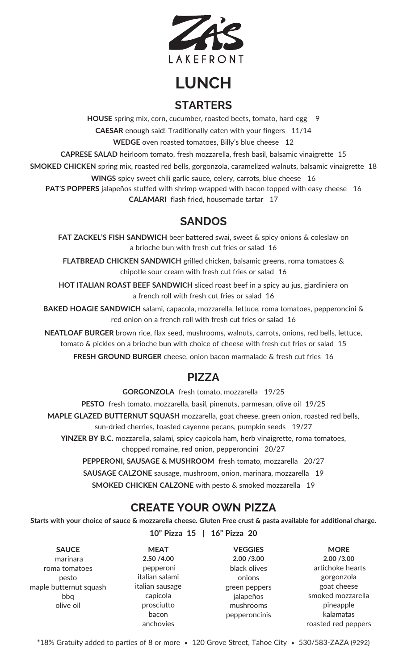

# **LUNCH STARTERS**

**HOUSE** spring mix, corn, cucumber, roasted beets, tomato, hard egg 9 **CAESAR** enough said! Traditionally eaten with your fingers 11/14 **WEDGE** oven roasted tomatoes, Billy's blue cheese 12 **CAPRESE SALAD** heirloom tomato, fresh mozzarella, fresh basil, balsamic vinaigrette 15 **SMOKED CHICKEN** spring mix, roasted red bells, gorgonzola, caramelized walnuts, balsamic vinaigrette 18 **WINGS** spicy sweet chili garlic sauce, celery, carrots, blue cheese 16 **PAT'S POPPERS** jalapeños stuffed with shrimp wrapped with bacon topped with easy cheese 16

**CALAMARI** flash fried, housemade tartar 17

## **SANDOS**

**FAT ZACKEL'S FISH SANDWICH** beer battered swai, sweet & spicy onions & coleslaw on a brioche bun with fresh cut fries or salad 16

**FLATBREAD CHICKEN SANDWICH** grilled chicken, balsamic greens, roma tomatoes & chipotle sour cream with fresh cut fries or salad 16

**HOT ITALIAN ROAST BEEF SANDWICH** sliced roast beef in a spicy au jus, giardiniera on a french roll with fresh cut fries or salad 16

**BAKED HOAGIE SANDWICH** salami, capacola, mozzarella, lettuce, roma tomatoes, pepperoncini & red onion on a french roll with fresh cut fries or salad 16

**NEATLOAF BURGER** brown rice, flax seed, mushrooms, walnuts, carrots, onions, red bells, lettuce, tomato & pickles on a brioche bun with choice of cheese with fresh cut fries or salad 15

**FRESH GROUND BURGER** cheese, onion bacon marmalade & fresh cut fries 16

## **PIZZA**

**GORGONZOLA** fresh tomato, mozzarella 19/25

**PESTO** fresh tomato, mozzarella, basil, pinenuts, parmesan, olive oil 19/25

**MAPLE GLAZED BUTTERNUT SQUASH** mozzarella, goat cheese, green onion, roasted red bells,

sun-dried cherries, toasted cayenne pecans, pumpkin seeds 19/27

**YINZER BY B.C.** mozzarella, salami, spicy capicola ham, herb vinaigrette, roma tomatoes, chopped romaine, red onion, pepperoncini 20/27

**PEPPERONI, SAUSAGE & MUSHROOM** fresh tomato, mozzarella 20/27

**SAUSAGE CALZONE** sausage, mushroom, onion, marinara, mozzarella 19

**SMOKED CHICKEN CALZONE** with pesto & smoked mozzarella 19

## **CREATE YOUR OWN PIZZA**

Starts with your choice of sauce & mozzarella cheese. Gluten Free crust & pasta available for additional charge.

**10" Pizza 15 | 16" Pizza 20**

**SAUCE** marinara roma tomatoes pesto maple butternut squash bbq olive oil

**MEAT 2.50 /4.00** pepperoni italian salami italian sausage capicola prosciutto bacon anchovies

**VEGGIES 2.00 /3.00** black olives onions green peppers jalapeños mushrooms pepperoncinis

**MORE 2.00 /3.00** artichoke hearts gorgonzola goat cheese smoked mozzarella pineapple kalamatas roasted red peppers

\*18% Gratuity added to parties of 8 or more • 120 Grove Street, Tahoe City • 530/583-ZAZA (9292)